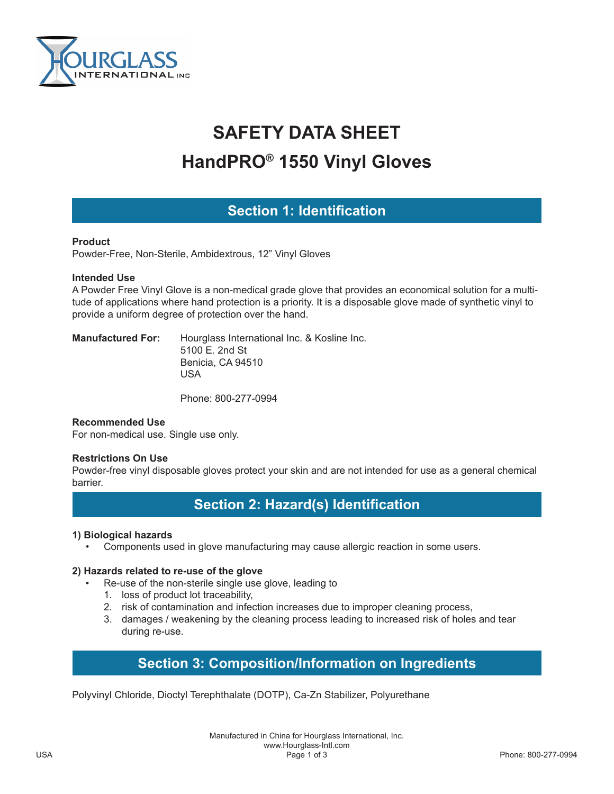

# **SAFETY DATA SHEET HandPRO® 1550 Vinyl Gloves**

# **Section 1: Identification**

#### **Product**

Powder-Free, Non-Sterile, Ambidextrous, 12" Vinyl Gloves

#### **Intended Use**

A Powder Free Vinyl Glove is a non-medical grade glove that provides an economical solution for a multitude of applications where hand protection is a priority. It is a disposable glove made of synthetic vinyl to provide a uniform degree of protection over the hand.

**Manufactured For:** Hourglass International Inc. & Kosline Inc. 5100 E. 2nd St Benicia, CA 94510 USA

Phone: 800-277-0994

#### **Recommended Use**

For non-medical use. Single use only.

#### **Restrictions On Use**

Powder-free vinyl disposable gloves protect your skin and are not intended for use as a general chemical barrier.

## **Section 2: Hazard(s) Identification**

#### **1) Biological hazards**

• Components used in glove manufacturing may cause allergic reaction in some users.

#### **2) Hazards related to re-use of the glove**

- Re-use of the non-sterile single use glove, leading to
	- 1. loss of product lot traceability,
	- 2. risk of contamination and infection increases due to improper cleaning process,
	- 3. damages / weakening by the cleaning process leading to increased risk of holes and tear during re-use.

# **Section 3: Composition/Information on Ingredients**

Polyvinyl Chloride, Dioctyl Terephthalate (DOTP), Ca-Zn Stabilizer, Polyurethane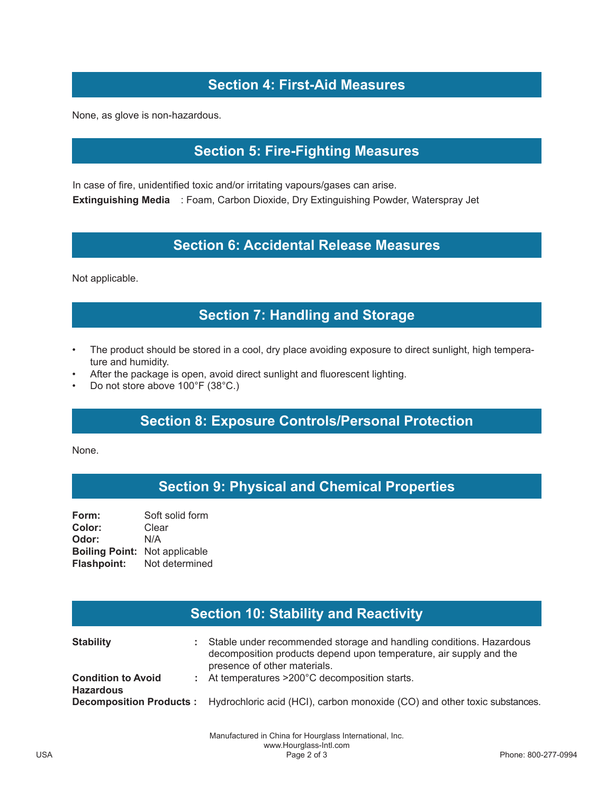# **Section 4: First-Aid Measures**

None, as glove is non-hazardous.

## **Section 5: Fire-Fighting Measures**

In case of fire, unidentified toxic and/or irritating vapours/gases can arise. **Extinguishing Media** : Foam, Carbon Dioxide, Dry Extinguishing Powder, Waterspray Jet

### **Section 6: Accidental Release Measures**

Not applicable.

## **Section 7: Handling and Storage**

- The product should be stored in a cool, dry place avoiding exposure to direct sunlight, high temperature and humidity.
- After the package is open, avoid direct sunlight and fluorescent lighting.
- Do not store above 100°F (38°C.)

## **Section 8: Exposure Controls/Personal Protection**

None.

## **Section 9: Physical and Chemical Properties**

**Form:** Soft solid form **Color:** Clear **Odor:** N/A **Boiling Point:** Not applicable **Flashpoint:** Not determined

| <b>Section 10: Stability and Reactivity</b>   |                                                                                                                                                                           |
|-----------------------------------------------|---------------------------------------------------------------------------------------------------------------------------------------------------------------------------|
| <b>Stability</b>                              | Stable under recommended storage and handling conditions. Hazardous<br>decomposition products depend upon temperature, air supply and the<br>presence of other materials. |
| <b>Condition to Avoid</b><br><b>Hazardous</b> | : At temperatures >200°C decomposition starts.                                                                                                                            |
|                                               | <b>Decomposition Products:</b> Hydrochloric acid (HCl), carbon monoxide (CO) and other toxic substances.                                                                  |

Manufactured in China for Hourglass International, Inc. www.Hourglass-Intl.com